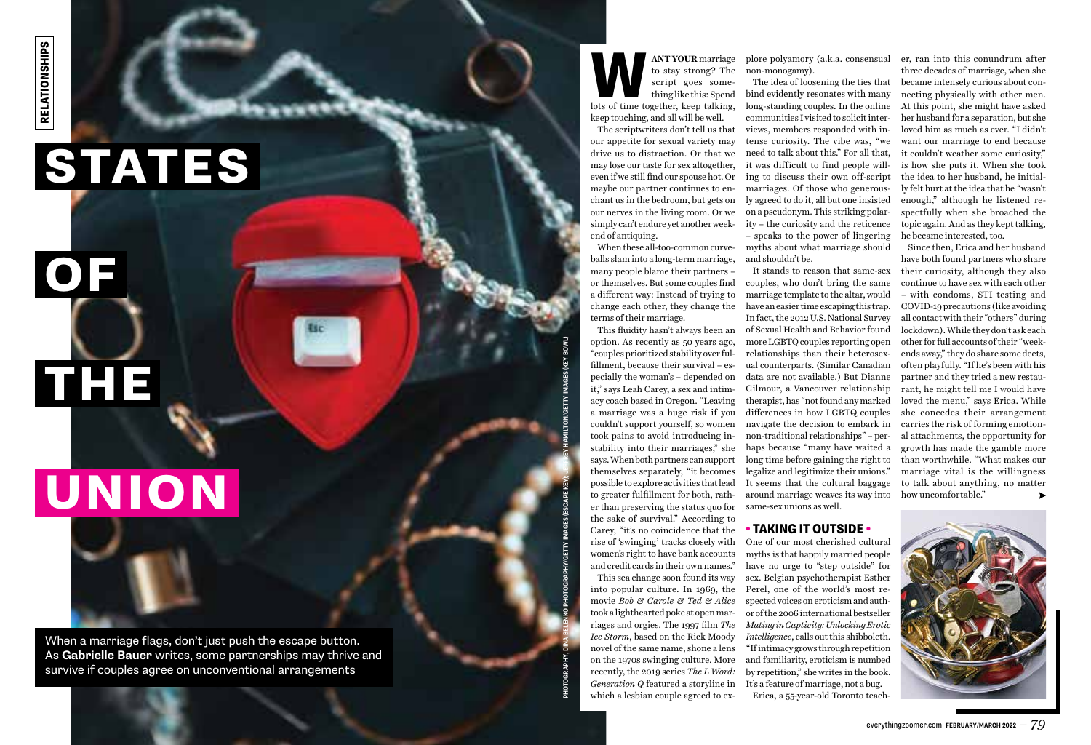## STATES

THE

# UNION

**ANT YOUR** marriage<br>to stay strong? The<br>script goes some-<br>thing like this: Spend<br>lots of time together, keep talking, to stay strong? The script goes some thing like this: Spend

keep touching, and all will be well. The scriptwriters don't tell us that our appetite for sexual variety may drive us to distraction. Or that we may lose our taste for sex altogether, even if we still find our spouse hot. Or maybe our partner continues to en chant us in the bedroom, but gets on our nerves in the living room. Or we simply can't endure yet another week end of antiquing.

When these all-too-common curve balls slam into a long-term marriage, many people blame their partners – or themselves. But some couples find a different way: Instead of trying to change each other, they change the terms of their marriage.

This fluidity hasn't always been an option. As recently as 50 years ago, "couples prioritized stability over ful fillment, because their survival – es pecially the woman's – depended on it," says Leah Carey, a sex and intim acy coach based in Oregon. "Leaving a marriage was a huge risk if you couldn't support yourself, so women took pains to avoid introducing in stability into their marriages," she says. When both partners can support themselves separately, "it becomes possible to explore activities that lead to greater fulfillment for both, rath er than preserving the status quo for the sake of survival." According to Carey, "it's no coincidence that the rise of 'swinging' tracks closely with women's right to have bank accounts and credit cards in their own names."

This sea change soon found its way into popular culture. In 1969, the movie *Bob & Carole & Ted & Alice* took a lighthearted poke at open mar riages and orgies. The 1997 film *The Ice Storm*, based on the Rick Moody *Intelligence*, calls out this shibboleth. novel of the same name, shone a lens on the 1970s swinging culture. More recently, the 2019 series *The L Word: Generation Q* featured a storyline in which a lesbian couple agreed to ex -

plore polyamory (a.k.a. consensual non-monogamy).

The idea of loosening the ties that bind evidently resonates with many long-standing couples. In the online communities I visited to solicit inter views, members responded with in tense curiosity. The vibe was, "we need to talk about this." For all that, it was difficult to find people will ing to discuss their own off-script marriages. Of those who generous ly agreed to do it, all but one insisted on a pseudonym. This striking polar ity – the curiosity and the reticence – speaks to the power of lingering myths about what marriage should and shouldn't be.

OF

It stands to reason that same-sex couples, who don't bring the same marriage template to the altar, would have an easier time escaping this trap. In fact, the 2012 U.S. National Survey of Sexual Health and Behavior found more LGBTQ couples reporting open relationships than their heterosex ual counterparts. (Similar Canadian data are not available.) But Dianne Gilmour, a Vancouver relationship therapist, has "not found any marked differences in how LGBTQ couples navigate the decision to embark in non-traditional relationships" – per haps because "many have waited a long time before gaining the right to legalize and legitimize their unions." It seems that the cultural baggage around marriage weaves its way into same-sex unions as well.

### • TAKING IT OUTSIDE •

One of our most cherished cultural myths is that happily married people have no urge to "step outside" for sex. Belgian psychotherapist Esther Perel, one of the world's most re spected voices on eroticism and auth or of the 2006 international bestseller *Mating in Captivity: Unlocking Erotic*  "If intimacy grows through repetition and familiarity, eroticism is numbed by repetition," she writes in the book. It's a feature of marriage, not a bug. Erica, a 55-year-old Toronto teach -

er, ran into this conundrum after three decades of marriage, when she became intensely curious about con necting physically with other men. At this point, she might have asked her husband for a separation, but she loved him as much as ever. "I didn't want our marriage to end because it couldn't weather some curiosity," is how she puts it. When she took the idea to her husband, he initial ly felt hurt at the idea that he "wasn't enough," although he listened re spectfully when she broached the topic again. And as they kept talking, he became interested, too.

Since then, Erica and her husband have both found partners who share their curiosity, although they also continue to have sex with each other – with condoms, STI testing and COVID-19 precautions (like avoiding all contact with their "others" during lockdown). While they don't ask each other for full accounts of their "week ends away," they do share some deets, often playfully. "If he's been with his partner and they tried a new restau rant, he might tell me I would have loved the menu," says Erica. While she concedes their arrangement carries the risk of forming emotion al attachments, the opportunity for growth has made the gamble more than worthwhile. "What makes our marriage vital is the willingness to talk about anything, no matter how uncomfortable."



When a marriage flags, don't just push the escape button. As **Gabrielle Bauer** writes, some partnerships may thrive and survive if couples agree on unconventional arrangements

**PHOTOGRAPHY, DINA BELENKO PHOTOGRAPHY/GETTY IMAGES (ESCAPE KEY); JEFFREY HAMILTON/GETTY IMAGES (KEY BOWL)**